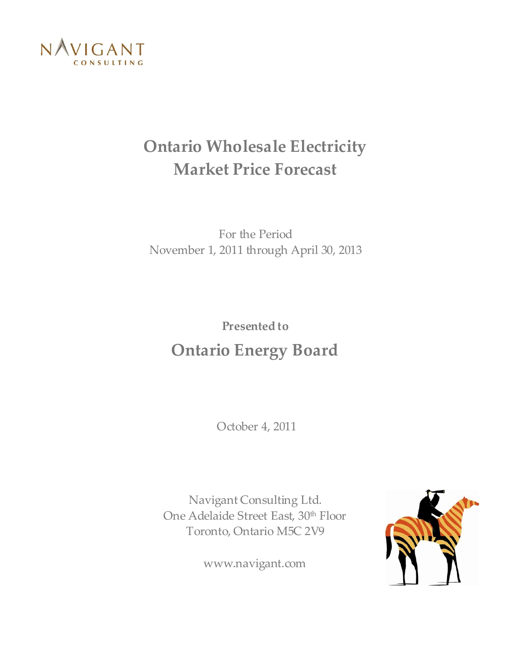

## **Ontario Wholesale Electricity Market Price Forecast**

For the Period November 1, 2011 through April 30, 2013

## **Presented to Ontario Energy Board**

October 4, 2011

Navigant Consulting Ltd. One Adelaide Street East, 30<sup>th</sup> Floor Toronto, Ontario M5C 2V9

www.navigant.com

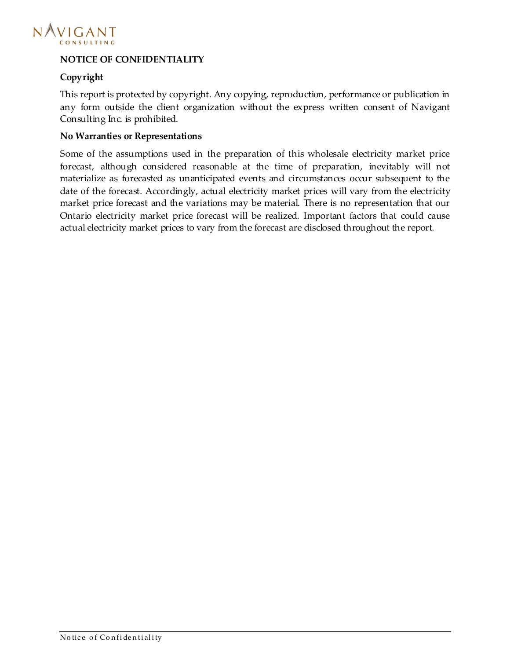

#### **NOTICE OF CONFIDENTIALITY**

#### **Copyright**

This report is protected by copyright. Any copying, reproduction, performance or publication in any form outside the client organization without the express written consent of Navigant Consulting Inc. is prohibited.

#### **No Warranties or Representations**

Some of the assumptions used in the preparation of this wholesale electricity market price forecast, although considered reasonable at the time of preparation, inevitably will not materialize as forecasted as unanticipated events and circumstances occur subsequent to the date of the forecast. Accordingly, actual electricity market prices will vary from the electricity market price forecast and the variations may be material. There is no representation that our Ontario electricity market price forecast will be realized. Important factors that could cause actual electricity market prices to vary from the forecast are disclosed throughout the report.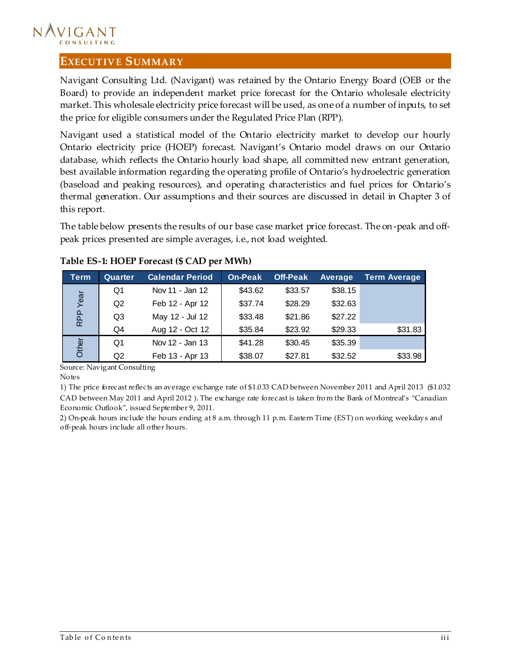#### NAVIGANT CONSULTING

#### <span id="page-2-0"></span>**EXECUTIV E SUMMARY**

Navigant Consulting Ltd. (Navigant) was retained by the Ontario Energy Board (OEB or the Board) to provide an independent market price forecast for the Ontario wholesale electricity market. This wholesale electricity price forecast will be used, as one of a number of inputs, to set the price for eligible consumers under the Regulated Price Plan (RPP).

Navigant used a statistical model of the Ontario electricity market to develop our hourly Ontario electricity price (HOEP) forecast. Navigant's Ontario model draws on our Ontario database, which reflects the Ontario hourly load shape, all committed new entrant generation, best available information regarding the operating profile of Ontario's hydroelectric generation (baseload and peaking resources), and operating characteristics and fuel prices for Ontario's thermal generation. Our assumptions and their sources are discussed in detail in Chapter [3](#page-8-0) of this report.

The table below presents the results of our base case market price forecast. The on-peak and offpeak prices presented are simple averages, i.e., not load weighted.

| Term  | Quarter | <b>Calendar Period</b> | On-Peak | <b>Off-Peak</b> | Average | <b>Term Average</b> |
|-------|---------|------------------------|---------|-----------------|---------|---------------------|
|       | Q1      | Nov 11 - Jan 12        | \$43.62 | \$33.57         | \$38.15 |                     |
| Year  | Q2      | Feb 12 - Apr 12        | \$37.74 | \$28.29         | \$32.63 |                     |
| RPP   | Q3      | May 12 - Jul 12        | \$33.48 | \$21.86         | \$27.22 |                     |
|       | Q4      | Aug 12 - Oct 12        | \$35.84 | \$23.92         | \$29.33 | \$31.83             |
| Other | Q1      | Nov 12 - Jan 13        | \$41.28 | \$30.45         | \$35.39 |                     |
|       | Q2      | Feb 13 - Apr 13        | \$38.07 | \$27.81         | \$32.52 | \$33.98             |

#### **Table ES-1: HOEP Forecast (\$ CAD per MWh)**

Source: Navigant Consulting

Notes

1) The price forecast reflects an average exchange rate of \$1.033 CAD between November 2011 and April 2013 (\$1.032 CAD between May 2011 and April 2012 ). The exchange rate forecast is taken fro m the Bank of Montreal's "Canadian Economic Outlook", issued September 9, 2011.

2) On-peak hours include the hours ending at 8 a.m. through 11 p.m. Eastern Time (EST) on working weekdays and off-peak hours include all other hours.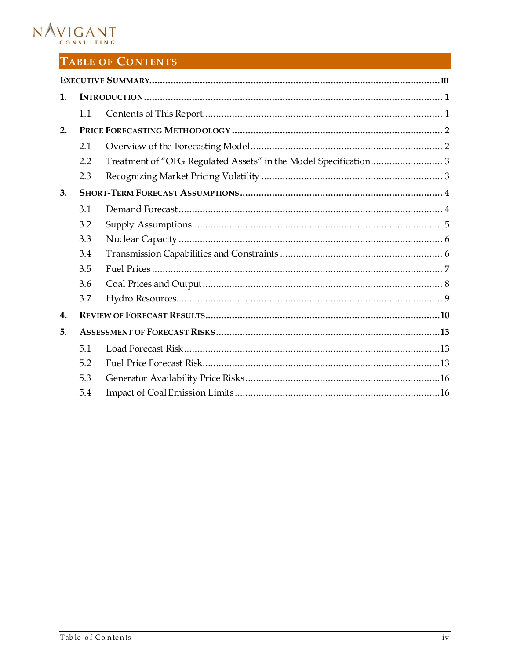# NAVIGANT

### TABLE OF CONTENTS

| 1.           |     |  |
|--------------|-----|--|
|              | 1.1 |  |
| 2.           |     |  |
|              | 2.1 |  |
|              | 2.2 |  |
|              | 2.3 |  |
| 3.           |     |  |
|              | 3.1 |  |
|              | 3.2 |  |
|              | 3.3 |  |
|              | 3.4 |  |
|              | 3.5 |  |
|              | 3.6 |  |
|              | 3.7 |  |
| $\mathbf{4}$ |     |  |
| 5.           |     |  |
|              | 5.1 |  |
|              | 5.2 |  |
|              | 5.3 |  |
|              | 5.4 |  |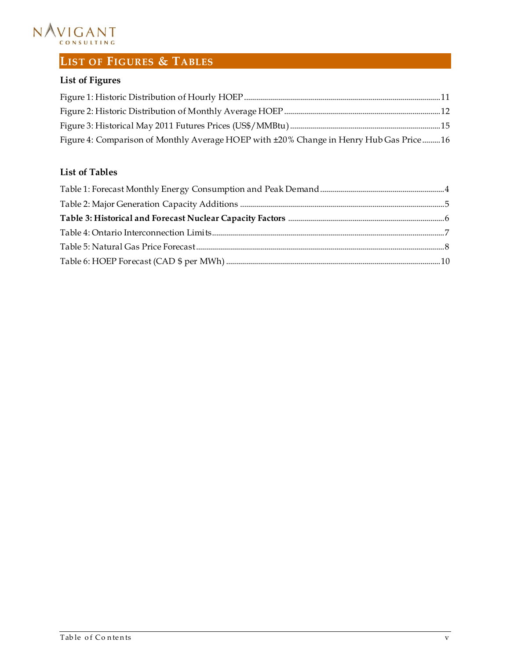

## **LIST OF FIGURES & TABLES**

### **List of Figures**

| Figure 4: Comparison of Monthly Average HOEP with ±20% Change in Henry Hub Gas Price 16 |  |
|-----------------------------------------------------------------------------------------|--|

#### **List of Tables**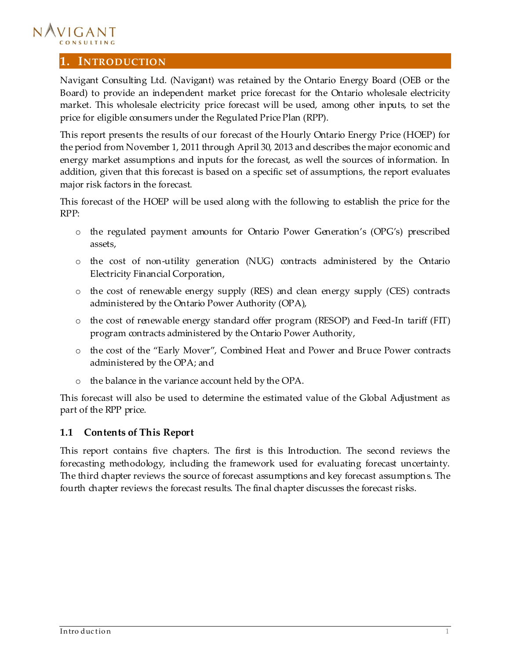

#### <span id="page-5-0"></span>**1. INTRODUCTION**

Navigant Consulting Ltd. (Navigant) was retained by the Ontario Energy Board (OEB or the Board) to provide an independent market price forecast for the Ontario wholesale electricity market. This wholesale electricity price forecast will be used, among other inputs, to set the price for eligible consumers under the Regulated Price Plan (RPP).

This report presents the results of our forecast of the Hourly Ontario Energy Price (HOEP) for the period from November 1, 2011 through April 30, 2013 and describes the major economic and energy market assumptions and inputs for the forecast, as well the sources of information. In addition, given that this forecast is based on a specific set of assumptions, the report evaluates major risk factors in the forecast.

This forecast of the HOEP will be used along with the following to establish the price for the RPP:

- o the regulated payment amounts for Ontario Power Generation's (OPG's) prescribed assets,
- o the cost of non-utility generation (NUG) contracts administered by the Ontario Electricity Financial Corporation,
- o the cost of renewable energy supply (RES) and clean energy supply (CES) contracts administered by the Ontario Power Authority (OPA),
- o the cost of renewable energy standard offer program (RESOP) and Feed-In tariff (FIT) program contracts administered by the Ontario Power Authority,
- o the cost of the "Early Mover", Combined Heat and Power and Bruce Power contracts administered by the OPA; and
- o the balance in the variance account held by the OPA.

This forecast will also be used to determine the estimated value of the Global Adjustment as part of the RPP price.

#### <span id="page-5-1"></span>**1.1 Contents of This Report**

This report contains five chapters. The first is this Introduction. The second reviews the forecasting methodology, including the framework used for evaluating forecast uncertainty. The third chapter reviews the source of forecast assumptions and key forecast assumptions. The fourth chapter reviews the forecast results. The final chapter discusses the forecast risks.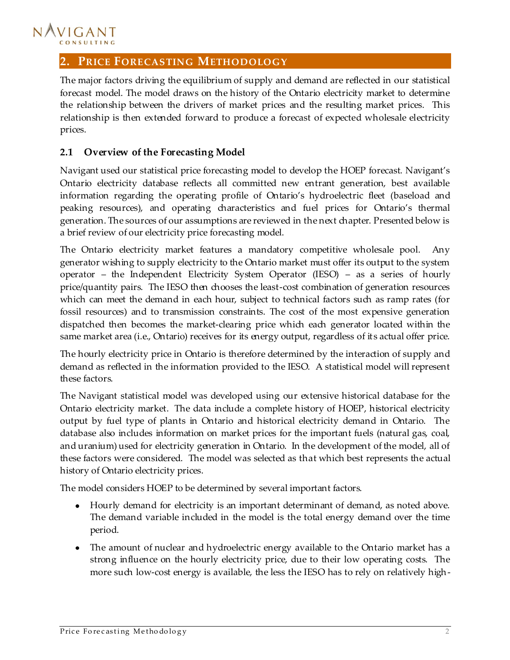#### NAVIGANT CONSULTING

#### <span id="page-6-0"></span>**2. PRICE FORECASTING METHODOLOGY**

The major factors driving the equilibrium of supply and demand are reflected in our statistical forecast model. The model draws on the history of the Ontario electricity market to determine the relationship between the drivers of market prices and the resulting market prices. This relationship is then extended forward to produce a forecast of expected wholesale electricity prices.

#### <span id="page-6-1"></span>**2.1 Overview of the Forecasting Model**

Navigant used our statistical price forecasting model to develop the HOEP forecast. Navigant's Ontario electricity database reflects all committed new entrant generation, best available information regarding the operating profile of Ontario's hydroelectric fleet (baseload and peaking resources), and operating characteristics and fuel prices for Ontario's thermal generation. The sources of our assumptions are reviewed in the next chapter. Presented below is a brief review of our electricity price forecasting model.

The Ontario electricity market features a mandatory competitive wholesale pool. Any generator wishing to supply electricity to the Ontario market must offer its output to the system operator – the Independent Electricity System Operator (IESO) – as a series of hourly price/quantity pairs. The IESO then chooses the least-cost combination of generation resources which can meet the demand in each hour, subject to technical factors such as ramp rates (for fossil resources) and to transmission constraints. The cost of the most expensive generation dispatched then becomes the market-clearing price which each generator located within the same market area (i.e., Ontario) receives for its energy output, regardless of its actual offer price.

The hourly electricity price in Ontario is therefore determined by the interaction of supply and demand as reflected in the information provided to the IESO. A statistical model will represent these factors.

The Navigant statistical model was developed using our extensive historical database for the Ontario electricity market. The data include a complete history of HOEP, historical electricity output by fuel type of plants in Ontario and historical electricity demand in Ontario. The database also includes information on market prices for the important fuels (natural gas, coal, and uranium) used for electricity generation in Ontario. In the development of the model, all of these factors were considered. The model was selected as that which best represents the actual history of Ontario electricity prices.

The model considers HOEP to be determined by several important factors.

- Hourly demand for electricity is an important determinant of demand, as noted above. The demand variable included in the model is the total energy demand over the time period.
- The amount of nuclear and hydroelectric energy available to the Ontario market has a strong influence on the hourly electricity price, due to their low operating costs. The more such low-cost energy is available, the less the IESO has to rely on relatively high-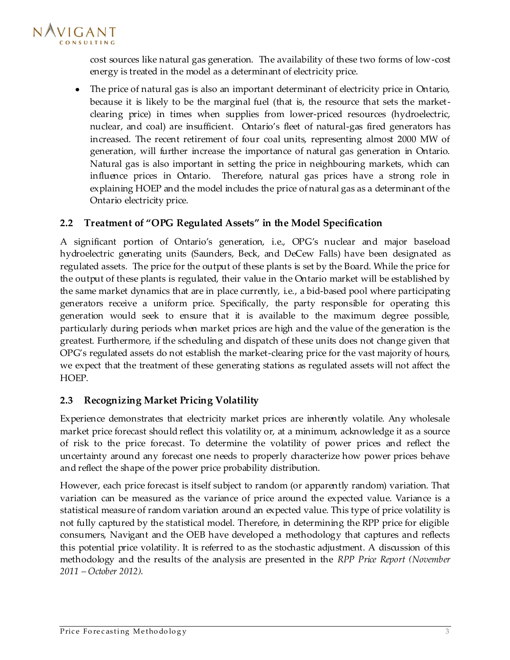

cost sources like natural gas generation. The availability of these two forms of low-cost energy is treated in the model as a determinant of electricity price.

The price of natural gas is also an important determinant of electricity price in Ontario,  $\bullet$ because it is likely to be the marginal fuel (that is, the resource that sets the marketclearing price) in times when supplies from lower-priced resources (hydroelectric, nuclear, and coal) are insufficient. Ontario's fleet of natural-gas fired generators has increased. The recent retirement of four coal units, representing almost 2000 MW of generation, will further increase the importance of natural gas generation in Ontario. Natural gas is also important in setting the price in neighbouring markets, which can influence prices in Ontario. Therefore, natural gas prices have a strong role in explaining HOEP and the model includes the price of natural gas as a determinant of the Ontario electricity price.

#### <span id="page-7-0"></span>**2.2 Treatment of "OPG Regulated Assets" in the Model Specification**

A significant portion of Ontario's generation, i.e., OPG's nuclear and major baseload hydroelectric generating units (Saunders, Beck, and DeCew Falls) have been designated as regulated assets. The price for the output of these plants is set by the Board. While the price for the output of these plants is regulated, their value in the Ontario market will be established by the same market dynamics that are in place currently, i.e., a bid-based pool where participating generators receive a uniform price. Specifically, the party responsible for operating this generation would seek to ensure that it is available to the maximum degree possible, particularly during periods when market prices are high and the value of the generation is the greatest. Furthermore, if the scheduling and dispatch of these units does not change given that OPG's regulated assets do not establish the market-clearing price for the vast majority of hours, we expect that the treatment of these generating stations as regulated assets will not affect the HOEP.

#### <span id="page-7-1"></span>**2.3 Recognizing Market Pricing Volatility**

Experience demonstrates that electricity market prices are inherently volatile. Any wholesale market price forecast should reflect this volatility or, at a minimum, acknowledge it as a source of risk to the price forecast. To determine the volatility of power prices and reflect the uncertainty around any forecast one needs to properly characterize how power prices behave and reflect the shape of the power price probability distribution.

However, each price forecast is itself subject to random (or apparently random) variation. That variation can be measured as the variance of price around the expected value. Variance is a statistical measure of random variation around an expected value. This type of price volatility is not fully captured by the statistical model. Therefore, in determining the RPP price for eligible consumers, Navigant and the OEB have developed a methodology that captures and reflects this potential price volatility. It is referred to as the stochastic adjustment. A discussion of this methodology and the results of the analysis are presented in the *RPP Price Report (November 2011 – October 2012)*.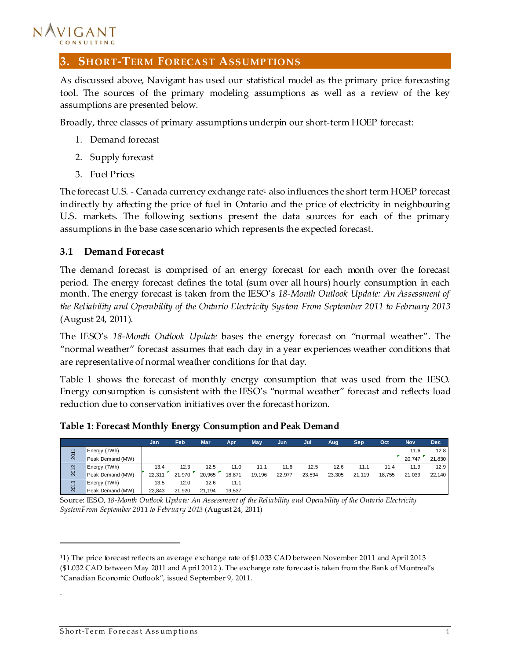# NAVIGANT

#### <span id="page-8-0"></span>**3. SHORT-TERM FORECAST ASSUMPTIONS**

As discussed above, Navigant has used our statistical model as the primary price forecasting tool. The sources of the primary modeling assumptions as well as a review of the key assumptions are presented below.

Broadly, three classes of primary assumptions underpin our short-term HOEP forecast:

- 1. Demand forecast
- 2. Supply forecast
- 3. Fuel Prices

The forecast U.S. - Canada currency exchange rate<sup>1</sup> also influences the short term HOEP forecast indirectly by affecting the price of fuel in Ontario and the price of electricity in neighbouring U.S. markets. The following sections present the data sources for each of the primary assumptions in the base case scenario which represents the expected forecast.

#### <span id="page-8-1"></span>**3.1 Demand Forecast**

The demand forecast is comprised of an energy forecast for each month over the forecast period. The energy forecast defines the total (sum over all hours) hourly consumption in each month. The energy forecast is taken from the IESO's *18-Month Outlook Update: An Assessment of the Reliability and Operability of the Ontario Electricity System From September 2011 to February 2013* (August 24, 2011).

The IESO's *18-Month Outlook Update* bases the energy forecast on "normal weather". The "normal weather" forecast assumes that each day in a year experiences weather conditions that are representative of normal weather conditions for that day.

[Table 1](#page-8-2) shows the forecast of monthly energy consumption that was used from the IESO. Energy consumption is consistent with the IESO's "normal weather" forecast and reflects load reduction due to conservation initiatives over the forecast horizon.

|      |                     | Jan    | Feb.   | Mar    | Apr    | May    | Jun    | Jul    | Aug    | Sep    | Oct    | <b>Nov</b> | <b>Dec</b> |
|------|---------------------|--------|--------|--------|--------|--------|--------|--------|--------|--------|--------|------------|------------|
|      | Energy (TWh)        |        |        |        |        |        |        |        |        |        |        | 11.6       | 12.8       |
| 201  | Peak Demand (MW)    |        |        |        |        |        |        |        |        |        |        | 20.747     | 21,830     |
| 2012 | <b>Energy (TWh)</b> | 13.4   | 12.3   | 12.5   | 11.0   | 11.1   | 11.6   | 12.5   | 12.6   | 11.7   | 11.4   | 11.9       | 12.9       |
|      | Peak Demand (MW)    | 22.311 | 21.970 | 20.965 | 18.871 | 19.196 | 22.977 | 23.594 | 23.305 | 21.119 | 18.755 | 21,039     | 22,140     |
| 2013 | Energy (TWh)        | 13.5   | 12.0   | 12.6   | 11.1   |        |        |        |        |        |        |            |            |
|      | Peak Demand (MW)    | 22.843 | 21.920 | 21,194 | 19.537 |        |        |        |        |        |        |            |            |

<span id="page-8-2"></span>**Table 1: Forecast Monthly Energy Consumption and Peak Demand**

Source: IESO, *18-Month Outlook Update: An Assessment of the Reliability and Operability of the Ontario Electricity SystemFrom September 2011 to February 2013* (August 24, 2011)

I

.

<sup>1</sup>1) The price forecast reflects an average exchange rate of \$1.033 CAD between November 2011 and April 2013 (\$1.032 CAD between May 2011 and A pril 2012 ). The exchange rate forecast is taken from the Bank of Montreal's "Canadian Economic Outlook", issued September 9, 2011.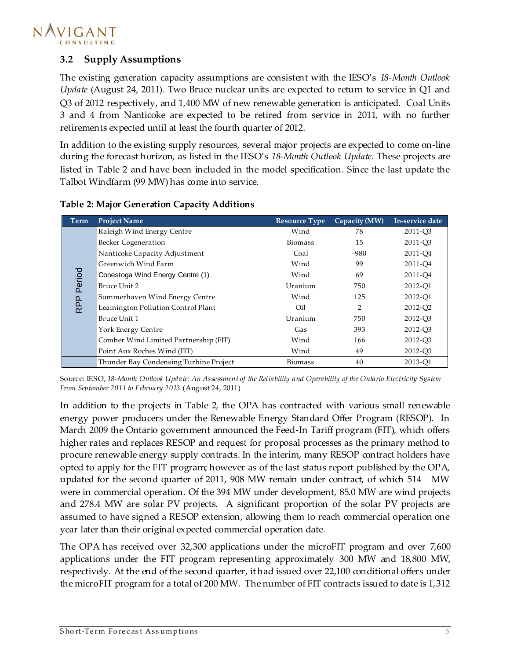

#### <span id="page-9-0"></span>**3.2 Supply Assumptions**

The existing generation capacity assumptions are consistent with the IESO's *18-Month Outlook Update* (August 24, 2011). Two Bruce nuclear units are expected to return to service in Q1 and Q3 of 2012 respectively, and 1,400 MW of new renewable generation is anticipated. Coal Units 3 and 4 from Nanticoke are expected to be retired from service in 2011, with no further retirements expected until at least the fourth quarter of 2012.

In addition to the existing supply resources, several major projects are expected to come on-line during the forecast horizon, as listed in the IESO's *18-Month Outlook Update*. These projects are listed in [Table 2](#page-9-1) and have been included in the model specification. Since the last update the Talbot Windfarm (99 MW) has come into service.

<span id="page-9-1"></span>

| <b>Term</b>      | <b>Project Name</b>                    | <b>Resource Type</b> | Capacity (MW) | In-service date     |
|------------------|----------------------------------------|----------------------|---------------|---------------------|
|                  | Raleigh Wind Energy Centre             | Wind                 | 78            | 2011-O <sub>3</sub> |
|                  | <b>Becker Cogeneration</b>             | <b>Biomass</b>       | 15            | 2011-O <sub>3</sub> |
|                  | Nanticoke Capacity Adjustment          | Coal                 | -980          | 2011-Q4             |
|                  | Greenwich Wind Farm                    | Wind                 | 99            | 2011-O4             |
| Period           | Conestoga Wind Energy Centre (1)       | Wind                 | 69            | 2011-O4             |
|                  | Bruce Unit 2                           | Uranium              | 750           | 2012-O1             |
|                  | Summerhaven Wind Energy Centre         | Wind                 | 125           | 2012-O1             |
| RPP <sub>I</sub> | Leamington Pollution Control Plant     | Oil                  | 2             | 2012-Q2             |
|                  | Bruce Unit 1                           | Uranium              | 750           | 2012-Q3             |
|                  | York Energy Centre                     | Gas                  | 393           | 2012-O <sub>3</sub> |
|                  | Comber Wind Limited Partnership (FIT)  | Wind                 | 166           | 2012-O <sub>3</sub> |
|                  | Point Aux Roches Wind (FIT)            | Wind                 | 49            | 2012-Q3             |
|                  | Thunder Bay Condensing Turbine Project | <b>Biomass</b>       | 40            | 2013-O1             |

#### **Table 2: Major Generation Capacity Additions**

Source: IESO, *18-Month Outlook Update: An Assessment of the Reliability and Operability of the Ontario Electricity System From September 2011 to February 2013* (August 24, 2011)

In addition to the projects in [Table 2,](#page-9-1) the OPA has contracted with various small renewable energy power producers under the Renewable Energy Standard Offer Program (RESOP). In March 2009 the Ontario government announced the Feed-In Tariff program (FIT), which offers higher rates and replaces RESOP and request for proposal processes as the primary method to procure renewable energy supply contracts. In the interim, many RESOP contract holders have opted to apply for the FIT program; however as of the last status report published by the OPA, updated for the second quarter of 2011, 908 MW remain under contract, of which 514 MW were in commercial operation. Of the 394 MW under development, 85.0 MW are wind projects and 278.4 MW are solar PV projects. A significant proportion of the solar PV projects are assumed to have signed a RESOP extension, allowing them to reach commercial operation one year later than their original expected commercial operation date.

The OPA has received over 32,300 applications under the microFIT program and over 7,600 applications under the FIT program representing approximately 300 MW and 18,800 MW, respectively. At the end of the second quarter, it had issued over 22,100 conditional offers under the microFIT program for a total of 200 MW. The number of FIT contracts issued to date is 1,312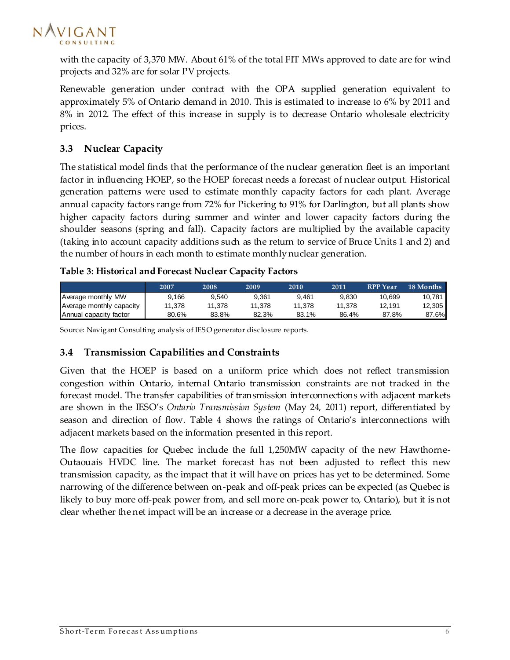

with the capacity of 3,370 MW. About 61% of the total FIT MWs approved to date are for wind projects and 32% are for solar PV projects.

Renewable generation under contract with the OPA supplied generation equivalent to approximately 5% of Ontario demand in 2010. This is estimated to increase to 6% by 2011 and 8% in 2012. The effect of this increase in supply is to decrease Ontario wholesale electricity prices.

#### <span id="page-10-0"></span>**3.3 Nuclear Capacity**

The statistical model finds that the performance of the nuclear generation fleet is an important factor in influencing HOEP, so the HOEP forecast needs a forecast of nuclear output. Historical generation patterns were used to estimate monthly capacity factors for each plant. Average annual capacity factors range from 72% for Pickering to 91% for Darlington, but all plants show higher capacity factors during summer and winter and lower capacity factors during the shoulder seasons (spring and fall). Capacity factors are multiplied by the available capacity (taking into account capacity additions such as the return to service of Bruce Units 1 and 2) and the number of hours in each month to estimate monthly nuclear generation.

#### <span id="page-10-2"></span>**Table 3: Historical and Forecast Nuclear Capacity Factors**

|                          | 2007   | 2008   | 2009   | 2010   | 2011   | <b>RPP</b> Year | 18 Months |
|--------------------------|--------|--------|--------|--------|--------|-----------------|-----------|
| Average monthly MW       | 9.166  | 9.540  | 9.361  | 9.461  | 9.830  | 10.699          | 10.781    |
| Average monthly capacity | 11.378 | 11.378 | 11.378 | 11.378 | 11.378 | 12.191          | 12,305    |
| Annual capacity factor   | 80.6%  | 83.8%  | 82.3%  | 83.1%  | 86.4%  | 87.8%           | 87.6%     |

Source: Navigant Consulting analysis of IESO generator disclosure reports.

#### <span id="page-10-1"></span>**3.4 Transmission Capabilities and Constraints**

Given that the HOEP is based on a uniform price which does not reflect transmission congestion within Ontario, internal Ontario transmission constraints are not tracked in the forecast model. The transfer capabilities of transmission interconnections with adjacent markets are shown in the IESO's *Ontario Transmission System* (May 24, 2011) report, differentiated by season and direction of flow. [Table 4](#page-11-1) shows the ratings of Ontario's interconnections with adjacent markets based on the information presented in this report.

The flow capacities for Quebec include the full 1,250MW capacity of the new Hawthorne-Outaouais HVDC line. The market forecast has not been adjusted to reflect this new transmission capacity, as the impact that it will have on prices has yet to be determined. Some narrowing of the difference between on-peak and off-peak prices can be expected (as Quebec is likely to buy more off-peak power from, and sell more on-peak power to, Ontario), but it is not clear whether the net impact will be an increase or a decrease in the average price.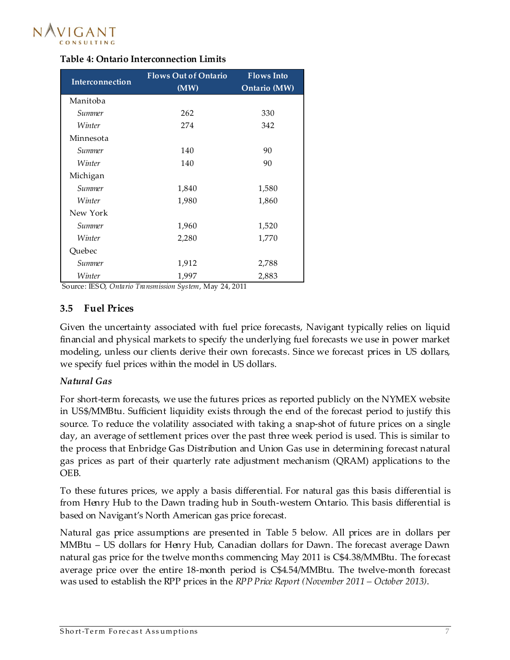

<span id="page-11-1"></span>

|  |  | <b>Table 4: Ontario Interconnection Limits</b> |  |
|--|--|------------------------------------------------|--|
|--|--|------------------------------------------------|--|

| Interconnection | <b>Flows Out of Ontario</b><br>(MW) | <b>Flows</b> Into<br>Ontario (MW) |
|-----------------|-------------------------------------|-----------------------------------|
| Manitoba        |                                     |                                   |
| Summer          | 262                                 | 330                               |
| Winter          | 274                                 | 342                               |
| Minnesota       |                                     |                                   |
| Summer          | 140                                 | 90                                |
| Winter          | 140                                 | 90                                |
| Michigan        |                                     |                                   |
| Summer          | 1,840                               | 1,580                             |
| Winter          | 1,980                               | 1,860                             |
| New York        |                                     |                                   |
| Summer          | 1,960                               | 1,520                             |
| Winter          | 2,280                               | 1,770                             |
| Quebec          |                                     |                                   |
| Summer          | 1,912                               | 2,788                             |
| Winter          | 1,997                               | 2,883                             |

Source: IESO, *Ontario Transmission System*, May 24, 2011

#### <span id="page-11-0"></span>**3.5 Fuel Prices**

Given the uncertainty associated with fuel price forecasts, Navigant typically relies on liquid financial and physical markets to specify the underlying fuel forecasts we use in power market modeling, unless our clients derive their own forecasts. Since we forecast prices in US dollars, we specify fuel prices within the model in US dollars.

#### *Natural Gas*

For short-term forecasts, we use the futures prices as reported publicly on the NYMEX website in US\$/MMBtu. Sufficient liquidity exists through the end of the forecast period to justify this source. To reduce the volatility associated with taking a snap-shot of future prices on a single day, an average of settlement prices over the past three week period is used. This is similar to the process that Enbridge Gas Distribution and Union Gas use in determining forecast natural gas prices as part of their quarterly rate adjustment mechanism (QRAM) applications to the OEB.

To these futures prices, we apply a basis differential. For natural gas this basis differential is from Henry Hub to the Dawn trading hub in South-western Ontario. This basis differential is based on Navigant's North American gas price forecast.

Natural gas price assumptions are presented in [Table 5](#page-12-1) below. All prices are in dollars per MMBtu – US dollars for Henry Hub, Canadian dollars for Dawn. The forecast average Dawn natural gas price for the twelve months commencing May 2011 is C\$4.38/MMBtu. The forecast average price over the entire 18-month period is C\$4.54/MMBtu. The twelve-month forecast was used to establish the RPP prices in the *RPP Price Report (November 2011 – October 2013)*.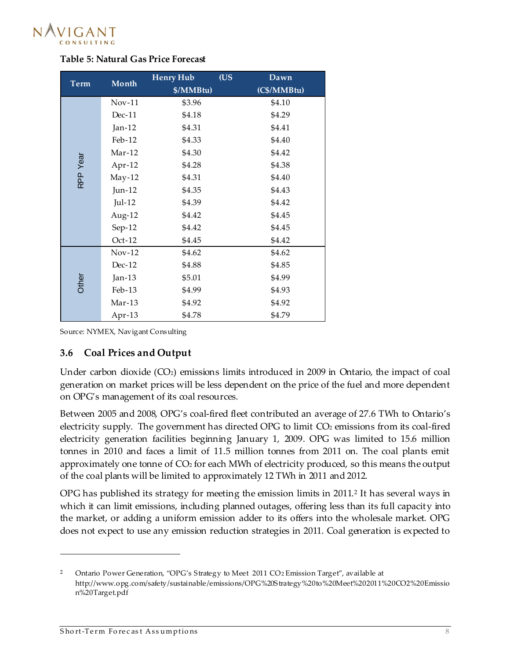

|             | Month     | <b>Henry Hub</b> | (US | Dawn        |
|-------------|-----------|------------------|-----|-------------|
| <b>Term</b> |           | \$/MMBtu)        |     | (C\$/MMBtu) |
|             | $Nov-11$  | \$3.96           |     | \$4.10      |
|             | $Dec-11$  | \$4.18           |     | \$4.29      |
|             | Jan- $12$ | \$4.31           |     | \$4.41      |
|             | Feb-12    | \$4.33           |     | \$4.40      |
|             | $Mar-12$  | \$4.30           |     | \$4.42      |
| RPP Year    | Apr-12    | \$4.28           |     | \$4.38      |
|             | $May-12$  | \$4.31           |     | \$4.40      |
|             | Jun-12    | \$4.35           |     | \$4.43      |
|             | $Jul-12$  | \$4.39           |     | \$4.42      |
|             | Aug-12    | \$4.42           |     | \$4.45      |
|             | $Sep-12$  | \$4.42           |     | \$4.45      |
|             | $Oct-12$  | \$4.45           |     | \$4.42      |
|             | $Nov-12$  | \$4.62           |     | \$4.62      |
|             | $Dec-12$  | \$4.88           |     | \$4.85      |
| Other       | $Jan-13$  | \$5.01           |     | \$4.99      |
|             | $Feb-13$  | \$4.99           |     | \$4.93      |
|             | $Mar-13$  | \$4.92           |     | \$4.92      |
|             | Apr-13    | \$4.78           |     | \$4.79      |

#### <span id="page-12-1"></span>**Table 5: Natural Gas Price Forecast**

<span id="page-12-0"></span>Source: NYMEX, Navigant Consulting

#### **3.6 Coal Prices and Output**

Under carbon dioxide  $(CO<sub>2</sub>)$  emissions limits introduced in 2009 in Ontario, the impact of coal generation on market prices will be less dependent on the price of the fuel and more dependent on OPG's management of its coal resources.

Between 2005 and 2008, OPG's coal-fired fleet contributed an average of 27.6 TWh to Ontario's electricity supply. The government has directed OPG to limit CO<sub>2</sub> emissions from its coal-fired electricity generation facilities beginning January 1, 2009. OPG was limited to 15.6 million tonnes in 2010 and faces a limit of 11.5 million tonnes from 2011 on. The coal plants emit approximately one tonne of CO<sub>2</sub> for each MWh of electricity produced, so this means the output of the coal plants will be limited to approximately 12 TWh in 2011 and 2012.

OPG has published its strategy for meeting the emission limits in 2011.<sup>2</sup> It has several ways in which it can limit emissions, including planned outages, offering less than its full capacity into the market, or adding a uniform emission adder to its offers into the wholesale market. OPG does not expect to use any emission reduction strategies in 2011. Coal generation is expected to

I

<sup>&</sup>lt;sup>2</sup> Ontario Power Generation, "OPG's Strategy to Meet 2011 CO<sub>2</sub> Emission Target", available at http://www.opg.com/safety/sustainable/emissions/OPG%20Strategy%20to%20Meet%202011%20CO2%20Emissio n%20Target.pdf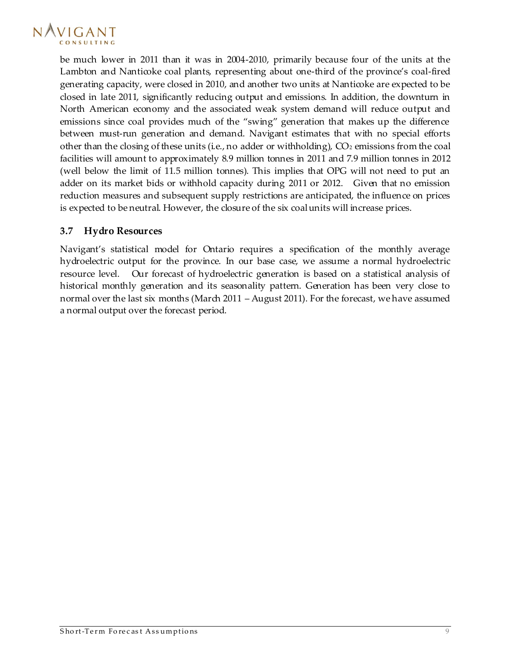

be much lower in 2011 than it was in 2004-2010, primarily because four of the units at the Lambton and Nanticoke coal plants, representing about one-third of the province's coal-fired generating capacity, were closed in 2010, and another two units at Nanticoke are expected to be closed in late 2011, significantly reducing output and emissions. In addition, the downturn in North American economy and the associated weak system demand will reduce output and emissions since coal provides much of the "swing" generation that makes up the difference between must-run generation and demand. Navigant estimates that with no special efforts other than the closing of these units (i.e., no adder or withholding),  $CO<sub>2</sub>$  emissions from the coal facilities will amount to approximately 8.9 million tonnes in 2011 and 7.9 million tonnes in 2012 (well below the limit of 11.5 million tonnes). This implies that OPG will not need to put an adder on its market bids or withhold capacity during 2011 or 2012. Given that no emission reduction measures and subsequent supply restrictions are anticipated, the influence on prices is expected to be neutral. However, the closure of the six coal units will increase prices.

#### <span id="page-13-0"></span>**3.7 Hydro Resources**

Navigant's statistical model for Ontario requires a specification of the monthly average hydroelectric output for the province. In our base case, we assume a normal hydroelectric resource level. Our forecast of hydroelectric generation is based on a statistical analysis of historical monthly generation and its seasonality pattern. Generation has been very close to normal over the last six months (March 2011 – August 2011). For the forecast, we have assumed a normal output over the forecast period.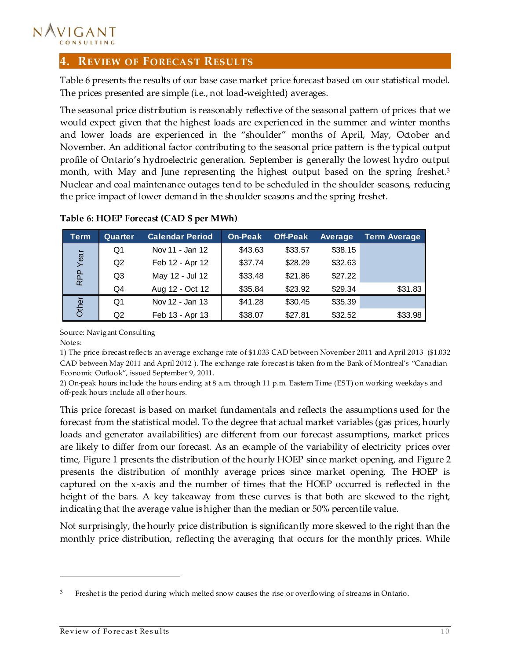

#### <span id="page-14-0"></span>**4. REVIEW OF FORECAST RESULTS**

[Table 6](#page-14-1) presents the results of our base case market price forecast based on our statistical model. The prices presented are simple (i.e., not load-weighted) averages.

The seasonal price distribution is reasonably reflective of the seasonal pattern of prices that we would expect given that the highest loads are experienced in the summer and winter months and lower loads are experienced in the "shoulder" months of April, May, October and November. An additional factor contributing to the seasonal price pattern is the typical output profile of Ontario's hydroelectric generation. September is generally the lowest hydro output month, with May and June representing the highest output based on the spring freshet.<sup>3</sup> Nuclear and coal maintenance outages tend to be scheduled in the shoulder seasons, reducing the price impact of lower demand in the shoulder seasons and the spring freshet.

| <b>Term</b> | Quarter | <b>Calendar Period</b> | On-Peak | <b>Off-Peak</b> | Average | <b>Term Average</b> |
|-------------|---------|------------------------|---------|-----------------|---------|---------------------|
|             | Q1      | Nov 11 - Jan 12        | \$43.63 | \$33.57         | \$38.15 |                     |
| Year        | Q2      | Feb 12 - Apr 12        | \$37.74 | \$28.29         | \$32.63 |                     |
| RPP         | Q3      | May 12 - Jul 12        | \$33.48 | \$21.86         | \$27.22 |                     |
|             | Q4      | Aug 12 - Oct 12        | \$35.84 | \$23.92         | \$29.34 | \$31.83             |
| Other       | Q1      | Nov 12 - Jan 13        | \$41.28 | \$30.45         | \$35.39 |                     |
|             | Q2      | Feb 13 - Apr 13        | \$38.07 | \$27.81         | \$32.52 | \$33.98             |

#### <span id="page-14-1"></span>**Table 6: HOEP Forecast (CAD \$ per MWh)**

Source: Navigant Consulting

Notes:

I

1) The price forecast reflects an average exchange rate of \$1.033 CAD between November 2011 and April 2013 (\$1.032 CAD between May 2011 and April 2012 ). The exchange rate forecast is taken fro m the Bank of Montreal's "Canadian Economic Outlook", issued September 9, 2011.

2) On-peak hours include the hours ending at 8 a.m. through 11 p.m. Eastern Time (EST) on working weekdays and off-peak hours include all other hours.

This price forecast is based on market fundamentals and reflects the assumptions used for the forecast from the statistical model. To the degree that actual market variables (gas prices, hourly loads and generator availabilities) are different from our forecast assumptions, market prices are likely to differ from our forecast. As an example of the variability of electricity prices over time, [Figure 1](#page-15-0) presents the distribution of the hourly HOEP since market opening, an[d Figure 2](#page-16-0) presents the distribution of monthly average prices since market opening. The HOEP is captured on the x-axis and the number of times that the HOEP occurred is reflected in the height of the bars. A key takeaway from these curves is that both are skewed to the right, indicating that the average value is higher than the median or 50% percentile value.

Not surprisingly, the hourly price distribution is significantly more skewed to the right than the monthly price distribution, reflecting the averaging that occurs for the monthly prices. While

<sup>3</sup> Freshet is the period during which melted snow causes the rise or overflowing of streams in Ontario.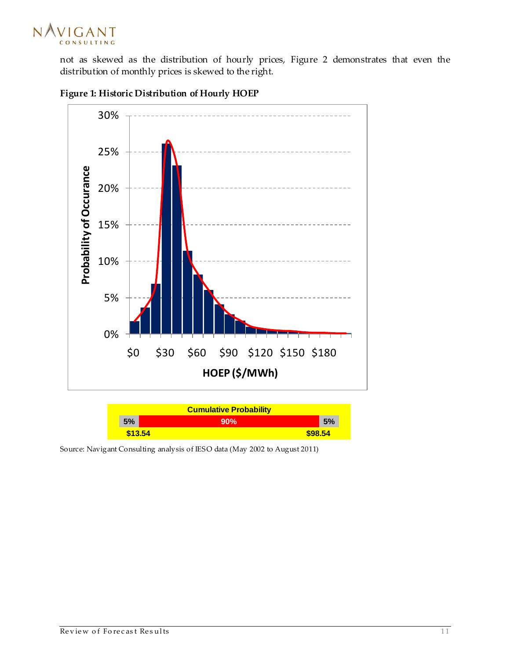

not as skewed as the distribution of hourly prices, [Figure 2](#page-16-0) demonstrates that even the distribution of monthly prices is skewed to the right.



<span id="page-15-0"></span>

| <b>Cumulative Probability</b> |     |         |  |  |  |  |
|-------------------------------|-----|---------|--|--|--|--|
| 5%                            | 90% | 5%      |  |  |  |  |
| \$13.54                       |     | \$98.54 |  |  |  |  |

Source: Navigant Consulting analysis of IESO data (May 2002 to August 2011)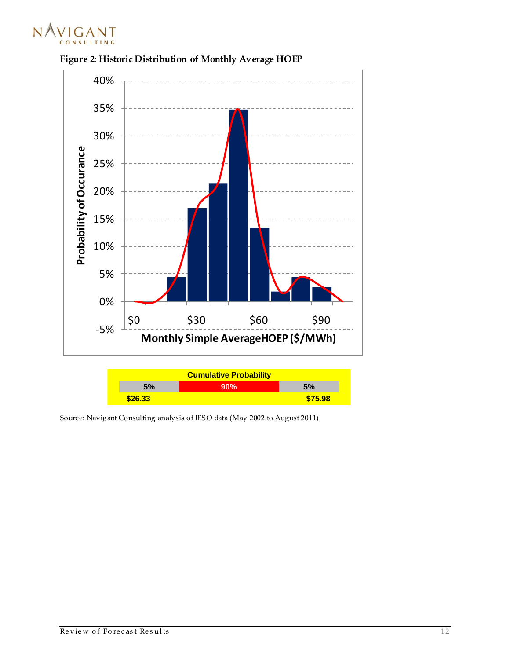



<span id="page-16-0"></span>**Figure 2: Historic Distribution of Monthly Average HOEP**

| <b>Cumulative Probability</b> |     |         |
|-------------------------------|-----|---------|
| 5%                            | 90% | 5%      |
| \$26.33                       |     | \$75.98 |

Source: Navigant Consulting analysis of IESO data (May 2002 to August 2011)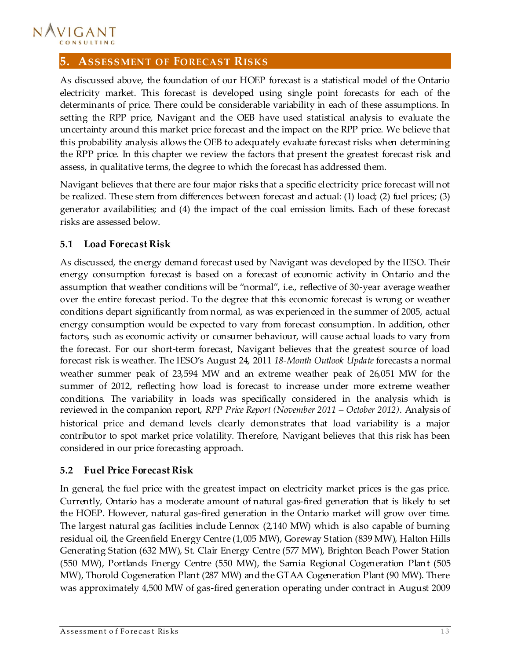#### NAVIGANT CONSULTING

#### <span id="page-17-0"></span>**5. ASSESSMENT OF FORECAST RISKS**

As discussed above, the foundation of our HOEP forecast is a statistical model of the Ontario electricity market. This forecast is developed using single point forecasts for each of the determinants of price. There could be considerable variability in each of these assumptions. In setting the RPP price, Navigant and the OEB have used statistical analysis to evaluate the uncertainty around this market price forecast and the impact on the RPP price. We believe that this probability analysis allows the OEB to adequately evaluate forecast risks when determining the RPP price. In this chapter we review the factors that present the greatest forecast risk and assess, in qualitative terms, the degree to which the forecast has addressed them.

Navigant believes that there are four major risks that a specific electricity price forecast will not be realized. These stem from differences between forecast and actual: (1) load; (2) fuel prices; (3) generator availabilities; and (4) the impact of the coal emission limits. Each of these forecast risks are assessed below.

#### <span id="page-17-1"></span>**5.1 Load Forecast Risk**

As discussed, the energy demand forecast used by Navigant was developed by the IESO. Their energy consumption forecast is based on a forecast of economic activity in Ontario and the assumption that weather conditions will be "normal", i.e., reflective of 30-year average weather over the entire forecast period. To the degree that this economic forecast is wrong or weather conditions depart significantly from normal, as was experienced in the summer of 2005, actual energy consumption would be expected to vary from forecast consumption. In addition, other factors, such as economic activity or consumer behaviour, will cause actual loads to vary from the forecast. For our short-term forecast, Navigant believes that the greatest source of load forecast risk is weather. The IESO's August 24, 2011 *18-Month Outlook Update* forecasts a normal weather summer peak of 23,594 MW and an extreme weather peak of 26,051 MW for the summer of 2012, reflecting how load is forecast to increase under more extreme weather conditions. The variability in loads was specifically considered in the analysis which is reviewed in the companion report, *RPP Price Report (November 2011 – October 2012)*. Analysis of historical price and demand levels clearly demonstrates that load variability is a major contributor to spot market price volatility. Therefore, Navigant believes that this risk has been considered in our price forecasting approach.

#### <span id="page-17-2"></span>**5.2 Fuel Price Forecast Risk**

In general, the fuel price with the greatest impact on electricity market prices is the gas price. Currently, Ontario has a moderate amount of natural gas-fired generation that is likely to set the HOEP. However, natural gas-fired generation in the Ontario market will grow over time. The largest natural gas facilities include Lennox (2,140 MW) which is also capable of burning residual oil, the Greenfield Energy Centre (1,005 MW), Goreway Station (839 MW), Halton Hills Generating Station (632 MW), St. Clair Energy Centre (577 MW), Brighton Beach Power Station (550 MW), Portlands Energy Centre (550 MW), the Sarnia Regional Cogeneration Plant (505 MW), Thorold Cogeneration Plant (287 MW) and the GTAA Cogeneration Plant (90 MW). There was approximately 4,500 MW of gas-fired generation operating under contract in August 2009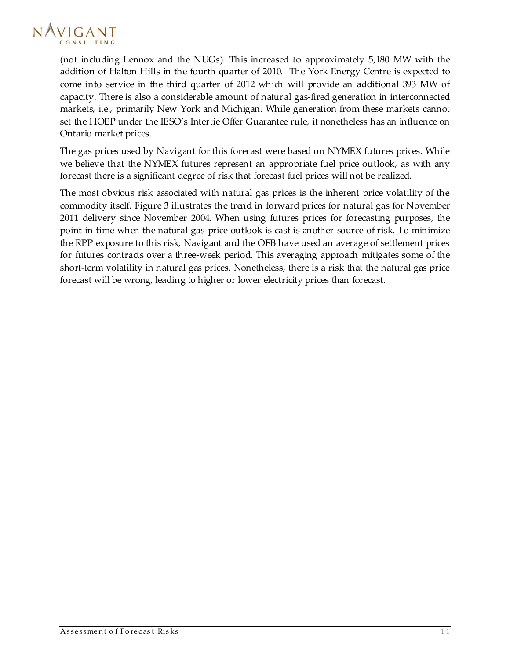

(not including Lennox and the NUGs). This increased to approximately 5,180 MW with the addition of Halton Hills in the fourth quarter of 2010. The York Energy Centre is expected to come into service in the third quarter of 2012 which will provide an additional 393 MW of capacity. There is also a considerable amount of natural gas-fired generation in interconnected markets, i.e., primarily New York and Michigan. While generation from these markets cannot set the HOEP under the IESO's Intertie Offer Guarantee rule, it nonetheless has an influence on Ontario market prices.

The gas prices used by Navigant for this forecast were based on NYMEX futures prices. While we believe that the NYMEX futures represent an appropriate fuel price outlook, as with any forecast there is a significant degree of risk that forecast fuel prices will not be realized.

The most obvious risk associated with natural gas prices is the inherent price volatility of the commodity itself. [Figure 3](#page-19-0) illustrates the trend in forward prices for natural gas for November 2011 delivery since November 2004. When using futures prices for forecasting purposes, the point in time when the natural gas price outlook is cast is another source of risk. To minimize the RPP exposure to this risk, Navigant and the OEB have used an average of settlement prices for futures contracts over a three-week period. This averaging approach mitigates some of the short-term volatility in natural gas prices. Nonetheless, there is a risk that the natural gas price forecast will be wrong, leading to higher or lower electricity prices than forecast.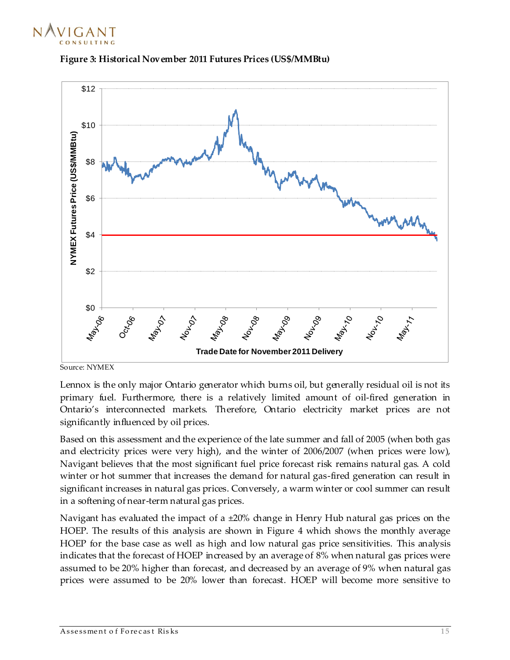



<span id="page-19-0"></span>

Source: NYMEX

Lennox is the only major Ontario generator which burns oil, but generally residual oil is not its primary fuel. Furthermore, there is a relatively limited amount of oil-fired generation in Ontario's interconnected markets. Therefore, Ontario electricity market prices are not significantly influenced by oil prices.

Based on this assessment and the experience of the late summer and fall of 2005 (when both gas and electricity prices were very high), and the winter of 2006/2007 (when prices were low), Navigant believes that the most significant fuel price forecast risk remains natural gas. A cold winter or hot summer that increases the demand for natural gas-fired generation can result in significant increases in natural gas prices. Conversely, a warm winter or cool summer can result in a softening of near-term natural gas prices.

Navigant has evaluated the impact of a  $\pm 20\%$  change in Henry Hub natural gas prices on the HOEP. The results of this analysis are shown in Figure 4 which shows the monthly average HOEP for the base case as well as high and low natural gas price sensitivities. This analysis indicates that the forecast of HOEP increased by an average of 8% when natural gas prices were assumed to be 20% higher than forecast, and decreased by an average of 9% when natural gas prices were assumed to be 20% lower than forecast. HOEP will become more sensitive to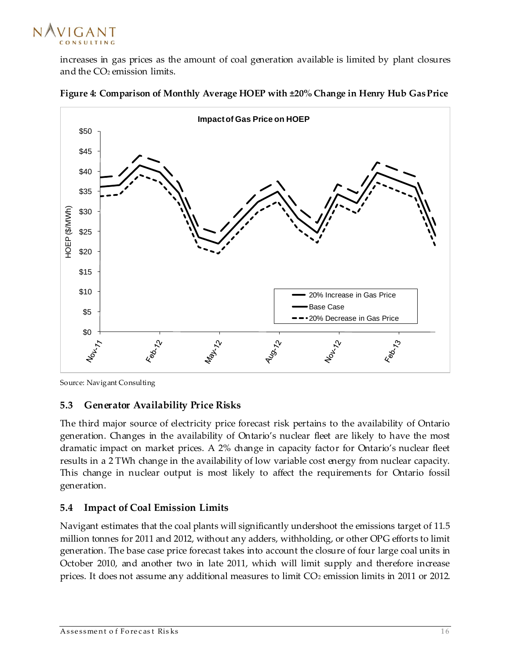

increases in gas prices as the amount of coal generation available is limited by plant closures and the CO<sub>2</sub> emission limits.



<span id="page-20-2"></span>

Source: Navigant Consulting

#### <span id="page-20-0"></span>**5.3 Generator Availability Price Risks**

The third major source of electricity price forecast risk pertains to the availability of Ontario generation. Changes in the availability of Ontario's nuclear fleet are likely to have the most dramatic impact on market prices. A 2% change in capacity factor for Ontario's nuclear fleet results in a 2 TWh change in the availability of low variable cost energy from nuclear capacity. This change in nuclear output is most likely to affect the requirements for Ontario fossil generation.

#### <span id="page-20-1"></span>**5.4 Impact of Coal Emission Limits**

Navigant estimates that the coal plants will significantly undershoot the emissions target of 11.5 million tonnes for 2011 and 2012, without any adders, withholding, or other OPG efforts to limit generation. The base case price forecast takes into account the closure of four large coal units in October 2010, and another two in late 2011, which will limit supply and therefore increase prices. It does not assume any additional measures to limit CO<sup>2</sup> emission limits in 2011 or 2012.